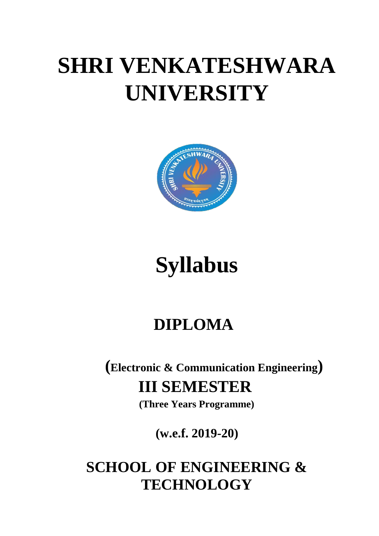# **SHRI VENKATESHWARA UNIVERSITY**



# **Syllabus**

# **DIPLOMA**

**(Electronic & Communication Engineering) III SEMESTER** 

**(Three Years Programme)**

**(w.e.f. 2019-20)**

## **SCHOOL OF ENGINEERING & TECHNOLOGY**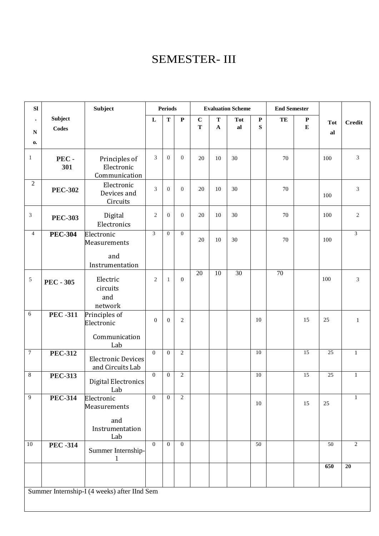### SEMESTER- III

| SI               |                  | Subject                                                     |                | <b>Periods</b>   |                  |                          |              | <b>Evaluation Scheme</b> |                 | <b>End Semester</b> |                  |                 |                 |
|------------------|------------------|-------------------------------------------------------------|----------------|------------------|------------------|--------------------------|--------------|--------------------------|-----------------|---------------------|------------------|-----------------|-----------------|
| $\bullet$        | Subject          |                                                             | L              | T                | $\mathbf P$      | $\mathbf C$<br>${\bf T}$ | $\mathbf T$  | <b>Tot</b>               | ${\bf P}$<br>S  | TE                  | $\mathbf P$<br>E | <b>Tot</b>      | <b>Credit</b>   |
| ${\bf N}$        | <b>Codes</b>     |                                                             |                |                  |                  |                          | $\mathbf{A}$ | al                       |                 |                     |                  | al              |                 |
| $\mathbf{0}$     |                  |                                                             |                |                  |                  |                          |              |                          |                 |                     |                  |                 |                 |
| $\mathbf{1}$     | PEC-<br>301      | Principles of<br>Electronic<br>Communication                | 3              | $\theta$         | $\overline{0}$   | 20                       | 10           | 30                       |                 | 70                  |                  | 100             | 3               |
| $\sqrt{2}$       | <b>PEC-302</b>   | Electronic<br>Devices and<br>Circuits                       | 3              | $\overline{0}$   | $\boldsymbol{0}$ | 20                       | 10           | 30                       |                 | 70                  |                  | 100             | $\mathfrak{Z}$  |
| $\mathfrak{Z}$   | <b>PEC-303</b>   | Digital<br>Electronics                                      | $\mathbf{2}$   | $\overline{0}$   | $\boldsymbol{0}$ | 20                       | 10           | 30                       |                 | 70                  |                  | 100             | $\sqrt{2}$      |
| $\overline{4}$   | <b>PEC-304</b>   | Electronic<br>Measurements                                  | $\overline{3}$ | $\mathbf{0}$     | $\boldsymbol{0}$ | 20                       | 10           | 30                       |                 | 70                  |                  | 100             | $\mathfrak{Z}$  |
|                  |                  | and<br>Instrumentation                                      |                |                  |                  |                          |              |                          |                 |                     |                  |                 |                 |
| $\sqrt{5}$       | <b>PEC - 305</b> | Electric<br>circuits<br>and<br>network                      | $\mathfrak{2}$ | 1                | $\boldsymbol{0}$ | 20                       | 10           | $\overline{30}$          |                 | $\overline{70}$     |                  | 100             | 3               |
| $\sqrt{6}$       | <b>PEC-311</b>   | Principles of<br>Electronic<br>Communication<br>Lab         | $\overline{0}$ | $\boldsymbol{0}$ | $\,2$            |                          |              |                          | 10              |                     | 15               | 25              | $\mathbf{1}$    |
| $\boldsymbol{7}$ | <b>PEC-312</b>   | <b>Electronic Devices</b><br>and Circuits Lab               | $\mathbf{0}$   | $\mathbf{0}$     | $\overline{2}$   |                          |              |                          | 10              |                     | $\overline{15}$  | $\overline{25}$ | $\mathbf{1}$    |
| $8\,$            | <b>PEC-313</b>   | <b>Digital Electronics</b><br>Lab                           | $\overline{0}$ | $\boldsymbol{0}$ | $\overline{2}$   |                          |              |                          | 10              |                     | $\overline{15}$  | 25              | $\mathbf{1}$    |
| $\overline{9}$   | <b>PEC-314</b>   | Electronic<br>Measurements<br>and<br>Instrumentation<br>Lab | $\Omega$       | $\Omega$         | $\overline{2}$   |                          |              |                          | 10              |                     | 15               | 25              | 1               |
| $10\,$           | <b>PEC-314</b>   | Summer Internship-<br>$\mathbf{1}$                          | $\mathbf{0}$   | $\Omega$         | $\mathbf{0}$     |                          |              |                          | $\overline{50}$ |                     |                  | 50              | 2               |
|                  |                  |                                                             |                |                  |                  |                          |              |                          |                 |                     |                  | 650             | $\overline{20}$ |
|                  |                  | Summer Internship-I (4 weeks) after IInd Sem                |                |                  |                  |                          |              |                          |                 |                     |                  |                 |                 |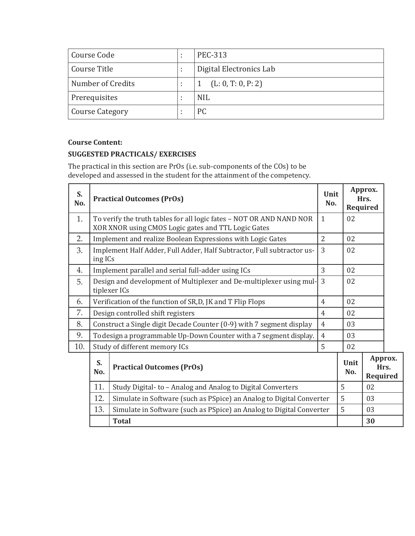| Course Code            | <b>PEC-313</b>          |
|------------------------|-------------------------|
| Course Title           | Digital Electronics Lab |
| Number of Credits      | (L: 0, T: 0, P: 2)      |
| Prerequisites          | <b>NIL</b>              |
| <b>Course Category</b> | PC                      |

#### **SUGGESTED PRACTICALS/ EXERCISES**

The practical in this section are PrOs (i.e. sub-components of the COs) to be developed and assessed in the student for the attainment of the competency.

| S.<br>No. |                                                                                        | <b>Practical Outcomes (PrOs)</b>                                                                                            | Unit<br>No.    |             | Approx.<br>Hrs.<br>Required |                 |
|-----------|----------------------------------------------------------------------------------------|-----------------------------------------------------------------------------------------------------------------------------|----------------|-------------|-----------------------------|-----------------|
| 1.        |                                                                                        | To verify the truth tables for all logic fates - NOT OR AND NAND NOR<br>XOR XNOR using CMOS Logic gates and TTL Logic Gates | $\mathbf{1}$   | 02          |                             |                 |
| 2.        |                                                                                        | Implement and realize Boolean Expressions with Logic Gates                                                                  | $\overline{2}$ | 02          |                             |                 |
| 3.        | ing ICs                                                                                | Implement Half Adder, Full Adder, Half Subtractor, Full subtractor us-                                                      | 3              | 02          |                             |                 |
| 4.        | 3<br>02<br>Implement parallel and serial full-adder using ICs                          |                                                                                                                             |                |             |                             |                 |
| 5.        |                                                                                        | Design and development of Multiplexer and De-multiplexer using mul-<br>tiplexer ICs                                         | 3              | 02          |                             |                 |
| 6.        |                                                                                        | Verification of the function of SR,D, JK and T Flip Flops                                                                   | 4              | 02          |                             |                 |
| 7.        |                                                                                        | Design controlled shift registers                                                                                           | $\overline{4}$ | 02          |                             |                 |
| 8.        | Construct a Single digit Decade Counter (0-9) with 7 segment display<br>$\overline{4}$ |                                                                                                                             |                |             |                             |                 |
| 9.        |                                                                                        | To design a programmable Up-Down Counter with a 7 segment display.                                                          | $\overline{4}$ | 03          |                             |                 |
| 10.       |                                                                                        | Study of different memory ICs                                                                                               | 5              | 02          |                             |                 |
|           | S.<br>No.                                                                              | <b>Practical Outcomes (PrOs)</b>                                                                                            |                | Unit<br>No. | <b>Required</b>             | Approx.<br>Hrs. |
|           | 11.                                                                                    | Study Digital- to - Analog and Analog to Digital Converters                                                                 |                | 5           | 02                          |                 |
|           | 12.                                                                                    | Simulate in Software (such as PSpice) an Analog to Digital Converter                                                        |                | 5           | 03                          |                 |
|           | 13.                                                                                    | Simulate in Software (such as PSpice) an Analog to Digital Converter                                                        |                | 5           | 03                          |                 |
|           |                                                                                        | <b>Total</b>                                                                                                                |                |             | 30                          |                 |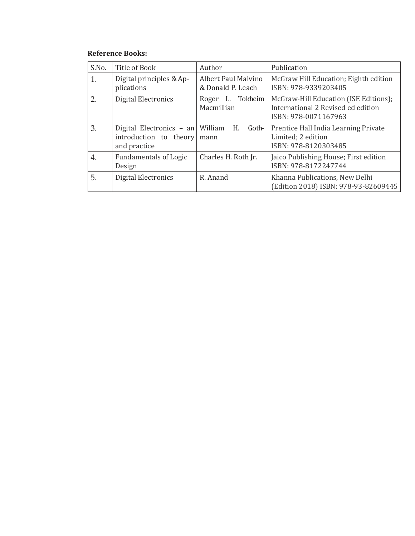#### **Reference Books:**

| S.No. | Title of Book                                                      | Author                                          | Publication                                                                                         |
|-------|--------------------------------------------------------------------|-------------------------------------------------|-----------------------------------------------------------------------------------------------------|
| 1.    | Digital principles & Ap-<br>plications                             | <b>Albert Paul Malvino</b><br>& Donald P. Leach | McGraw Hill Education; Eighth edition<br>ISBN: 978-9339203405                                       |
| 2.    | Digital Electronics                                                | Roger L. Tokheim<br>Macmillian                  | McGraw-Hill Education (ISE Editions);<br>International 2 Revised ed edition<br>ISBN: 978-0071167963 |
| 3.    | Digital Electronics - an<br>introduction to theory<br>and practice | William<br>H.<br>Goth-<br>mann                  | Prentice Hall India Learning Private<br>Limited; 2 edition<br>ISBN: 978-8120303485                  |
| 4.    | <b>Fundamentals of Logic</b><br>Design                             | Charles H. Roth Jr.                             | Jaico Publishing House; First edition<br>ISBN: 978-8172247744                                       |
| 5.    | Digital Electronics                                                | R. Anand                                        | Khanna Publications, New Delhi<br>(Edition 2018) ISBN: 978-93-82609445                              |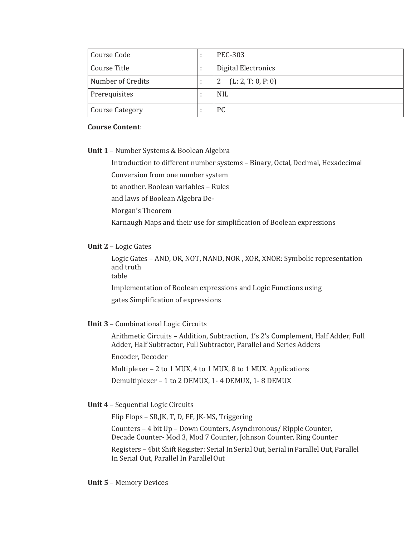| Course Code            | <b>PEC-303</b>      |
|------------------------|---------------------|
| Course Title           | Digital Electronics |
| Number of Credits      | (L: 2, T: 0, P: 0)  |
| Prerequisites          | <b>NIL</b>          |
| <b>Course Category</b> | PC                  |

**Unit 1** – Number Systems & Boolean Algebra

Introduction to different number systems – Binary, Octal, Decimal, Hexadecimal

Conversion from one number system

to another. Boolean variables – Rules

and laws of Boolean Algebra De-

Morgan's Theorem

Karnaugh Maps and their use for simplification of Boolean expressions

#### **Unit 2** – Logic Gates

Logic Gates – AND, OR, NOT, NAND, NOR , XOR, XNOR: Symbolic representation and truth

table

Implementation of Boolean expressions and Logic Functions using

gates Simplification of expressions

#### **Unit 3** – Combinational Logic Circuits

Arithmetic Circuits – Addition, Subtraction, 1's 2's Complement, Half Adder, Full Adder, Half Subtractor, Full Subtractor, Parallel and Series Adders

Encoder, Decoder

Multiplexer – 2 to 1 MUX, 4 to 1 MUX, 8 to 1 MUX. Applications Demultiplexer – 1 to 2 DEMUX, 1- 4 DEMUX, 1- 8 DEMUX

#### **Unit 4** – Sequential Logic Circuits

Flip Flops – SR,JK, T, D, FF, JK-MS, Triggering

Counters – 4 bit Up – Down Counters, Asynchronous/ Ripple Counter, Decade Counter- Mod 3, Mod 7 Counter, Johnson Counter, Ring Counter

Registers – 4bit Shift Register: Serial In Serial Out, Serial in Parallel Out, Parallel In Serial Out, Parallel In ParallelOut

#### **Unit 5** – Memory Devices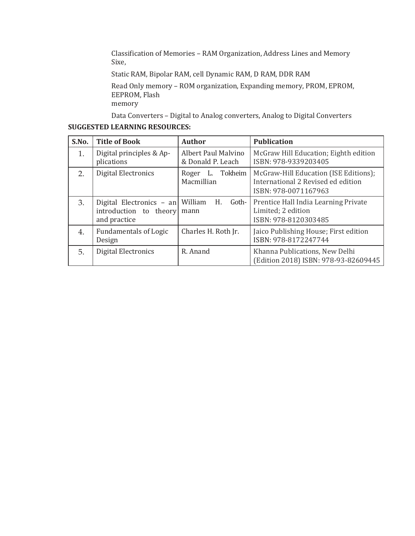Classification of Memories – RAM Organization, Address Lines and Memory Sixe,

Static RAM, Bipolar RAM, cell Dynamic RAM, D RAM, DDR RAM

Read Only memory – ROM organization, Expanding memory, PROM, EPROM, EEPROM, Flash memory

Data Converters – Digital to Analog converters, Analog to Digital Converters

#### **SUGGESTED LEARNING RESOURCES:**

| S.No. | <b>Title of Book</b>                                                       | <b>Author</b>                            | <b>Publication</b>                                                                                  |
|-------|----------------------------------------------------------------------------|------------------------------------------|-----------------------------------------------------------------------------------------------------|
| 1.    | Digital principles & Ap-<br>plications                                     | Albert Paul Malvino<br>& Donald P. Leach | McGraw Hill Education; Eighth edition<br>ISBN: 978-9339203405                                       |
| 2.    | Digital Electronics                                                        | Tokheim<br>Roger<br>L.<br>Macmillian     | McGraw-Hill Education (ISE Editions);<br>International 2 Revised ed edition<br>ISBN: 978-0071167963 |
| 3.    | Digital Electronics - an William<br>introduction to theory<br>and practice | Goth-<br>H.<br>mann                      | Prentice Hall India Learning Private<br>Limited; 2 edition<br>ISBN: 978-8120303485                  |
| 4.    | <b>Fundamentals of Logic</b><br>Design                                     | Charles H. Roth Jr.                      | Jaico Publishing House; First edition<br>ISBN: 978-8172247744                                       |
| 5.    | Digital Electronics                                                        | R. Anand                                 | Khanna Publications, New Delhi<br>(Edition 2018) ISBN: 978-93-82609445                              |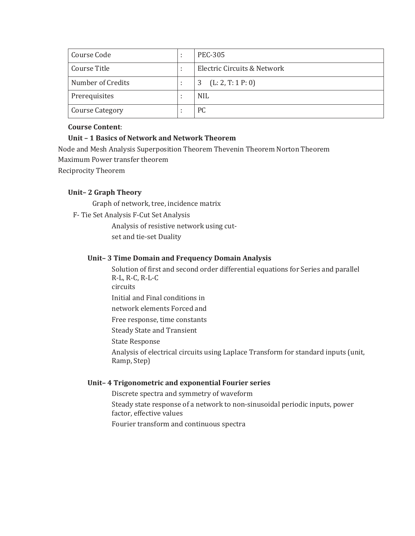| Course Code            | <b>PEC-305</b>              |
|------------------------|-----------------------------|
| Course Title           | Electric Circuits & Network |
| Number of Credits      | (L: 2, T: 1 P: 0)<br>3      |
| Prerequisites          | <b>NIL</b>                  |
| <b>Course Category</b> | PC                          |

#### **Unit – 1 Basics of Network and Network Theorem**

Node and Mesh Analysis Superposition Theorem Thevenin Theorem Norton Theorem Maximum Power transfer theorem Reciprocity Theorem

#### **Unit– 2 Graph Theory**

Graph of network, tree, incidence matrix

F- Tie Set Analysis F-Cut Set Analysis

Analysis of resistive network using cutset and tie-set Duality

#### **Unit– 3 Time Domain and Frequency Domain Analysis**

Solution of first and second order differential equations for Series and parallel R-L, R-C, R-L-C circuits Initial and Final conditions in

network elements Forced and

Free response, time constants

Steady State and Transient

State Response

Analysis of electrical circuits using Laplace Transform for standard inputs (unit, Ramp, Step)

#### **Unit– 4 Trigonometric and exponential Fourier series**

Discrete spectra and symmetry of waveform

Steady state response of a network to non-sinusoidal periodic inputs, power factor, effective values

Fourier transform and continuous spectra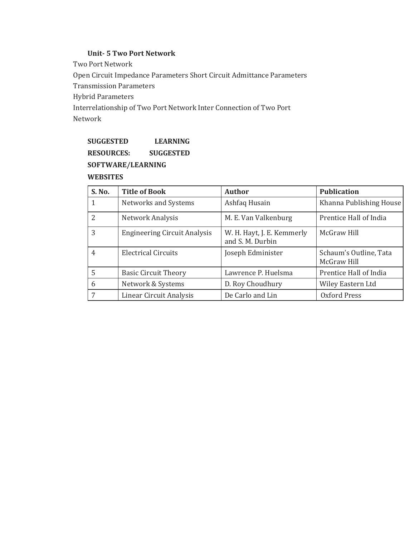#### **Unit- 5 Two Port Network**

Two Port Network Open Circuit Impedance Parameters Short Circuit Admittance Parameters Transmission Parameters Hybrid Parameters Interrelationship of Two Port Network Inter Connection of Two Port Network

### **SUGGESTED LEARNING RESOURCES: SUGGESTED SOFTWARE/LEARNING**

## **WEBSITES**

| S. No.         | <b>Title of Book</b>                | <b>Author</b>                                  | <b>Publication</b>                    |
|----------------|-------------------------------------|------------------------------------------------|---------------------------------------|
|                | Networks and Systems                | Ashfaq Husain                                  | Khanna Publishing House               |
| 2              | Network Analysis                    | M. E. Van Valkenburg                           | Prentice Hall of India                |
| 3              | <b>Engineering Circuit Analysis</b> | W. H. Hayt, J. E. Kemmerly<br>and S. M. Durbin | McGraw Hill                           |
| $\overline{4}$ | <b>Electrical Circuits</b>          | Joseph Edminister                              | Schaum's Outline, Tata<br>McGraw Hill |
| 5              | <b>Basic Circuit Theory</b>         | Lawrence P. Huelsma                            | Prentice Hall of India                |
| 6              | Network & Systems                   | D. Roy Choudhury                               | Wiley Eastern Ltd                     |
|                | Linear Circuit Analysis             | De Carlo and Lin                               | Oxford Press                          |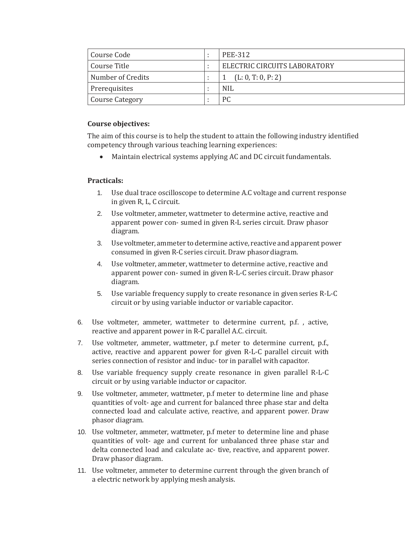| Course Code            |     | PEE-312                      |
|------------------------|-----|------------------------------|
| Course Title           |     | ELECTRIC CIRCUITS LABORATORY |
| Number of Credits      |     | (L: 0, T: 0, P: 2)           |
| Prerequisites          | . . | <b>NIL</b>                   |
| <b>Course Category</b> |     | <sub>PC</sub>                |

#### **Course objectives:**

The aim of this course is to help the student to attain the following industry identified competency through various teaching learning experiences:

Maintain electrical systems applying AC and DC circuit fundamentals.

#### **Practicals:**

- 1. Use dual trace oscilloscope to determine A.C voltage and current response in given R, L, C circuit.
- 2. Use voltmeter, ammeter, wattmeter to determine active, reactive and apparent power con- sumed in given R-L series circuit. Draw phasor diagram.
- 3. Use voltmeter, ammeter to determine active, reactive and apparent power consumed in given R-C series circuit. Draw phasordiagram.
- 4. Use voltmeter, ammeter, wattmeter to determine active, reactive and apparent power con- sumed in given R-L-C series circuit. Draw phasor diagram.
- 5. Use variable frequency supply to create resonance in given series R-L-C circuit or by using variable inductor or variable capacitor.
- 6. Use voltmeter, ammeter, wattmeter to determine current, p.f. , active, reactive and apparent power in R-C parallel A.C. circuit.
- 7. Use voltmeter, ammeter, wattmeter, p.f meter to determine current, p.f., active, reactive and apparent power for given R-L-C parallel circuit with series connection of resistor and induc- tor in parallel with capacitor.
- 8. Use variable frequency supply create resonance in given parallel R-L-C circuit or by using variable inductor or capacitor.
- 9. Use voltmeter, ammeter, wattmeter, p.f meter to determine line and phase quantities of volt- age and current for balanced three phase star and delta connected load and calculate active, reactive, and apparent power. Draw phasor diagram.
- 10. Use voltmeter, ammeter, wattmeter, p.f meter to determine line and phase quantities of volt- age and current for unbalanced three phase star and delta connected load and calculate ac- tive, reactive, and apparent power. Draw phasor diagram.
- 11. Use voltmeter, ammeter to determine current through the given branch of a electric network by applying mesh analysis.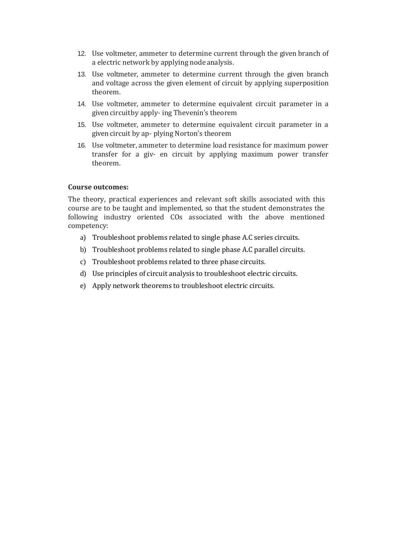- 12. Use voltmeter, ammeter to determine current through the given branch of a electric network by applying node analysis.
- 13. Use voltmeter, ammeter to determine current through the given branch and voltage across the given element of circuit by applying superposition theorem.
- 14. Use voltmeter, ammeter to determine equivalent circuit parameter in a given circuitby apply- ing Thevenin's theorem
- 15. Use voltmeter, ammeter to determine equivalent circuit parameter in a given circuit by ap- plying Norton's theorem
- 16. Use voltmeter, ammeter to determine load resistance for maximum power transfer for a giv- en circuit by applying maximum power transfer theorem.

#### **Course outcomes:**

The theory, practical experiences and relevant soft skills associated with this course are to be taught and implemented, so that the student demonstrates the following industry oriented COs associated with the above mentioned competency:

- a) Troubleshoot problems related to single phase A.C series circuits.
- b) Troubleshoot problems related to single phase A.C parallel circuits.
- c) Troubleshoot problems related to three phase circuits.
- d) Use principles of circuit analysis to troubleshoot electric circuits.
- e) Apply network theorems to troubleshoot electric circuits.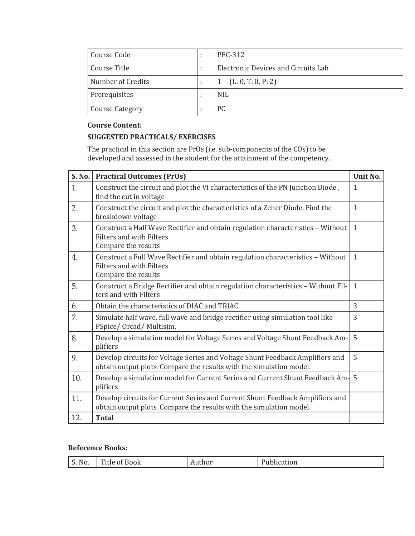| Course Code            | <b>PEC-312</b>                      |
|------------------------|-------------------------------------|
| Course Title           | Electronic Devices and Circuits Lab |
| Number of Credits      | (L: 0, T: 0, P: 2)                  |
| Prerequisites          | <b>NIL</b>                          |
| <b>Course Category</b> | РC                                  |

#### **SUGGESTED PRACTICALS/ EXERCISES**

The practical in this section are PrOs (i.e. sub-components of the COs) to be developed and assessed in the student for the attainment of the competency.

| S. No. | <b>Practical Outcomes (PrOs)</b>                                                                                                                     | Unit No.     |
|--------|------------------------------------------------------------------------------------------------------------------------------------------------------|--------------|
| 1.     | Construct the circuit and plot the VI characteristics of the PN Junction Diode,<br>find the cut in voltage                                           | $\mathbf{1}$ |
| 2.     | Construct the circuit and plot the characteristics of a Zener Diode. Find the<br>breakdown voltage                                                   | $\mathbf{1}$ |
| 3.     | Construct a Half Wave Rectifier and obtain regulation characteristics - Without<br><b>Filters and with Filters</b><br>Compare the results            | $\mathbf{1}$ |
| 4.     | Construct a Full Wave Rectifier and obtain regulation characteristics - Without<br>Filters and with Filters<br>Compare the results                   | $\mathbf{1}$ |
| 5.     | Construct a Bridge Rectifier and obtain regulation characteristics - Without Fil-<br>ters and with Filters                                           | $\mathbf{1}$ |
| 6.     | Obtain the characteristics of DIAC and TRIAC                                                                                                         | 3            |
| 7.     | Simulate half wave, full wave and bridge rectifier using simulation tool like<br>PSpice/ Orcad/ Multisim.                                            | 3            |
| 8.     | Develop a simulation model for Voltage Series and Voltage Shunt Feedback Am-<br>plifiers                                                             | 5            |
| 9.     | Develop circuits for Voltage Series and Voltage Shunt Feedback Amplifiers and<br>obtain output plots. Compare the results with the simulation model. | 5            |
| 10.    | Develop a simulation model for Current Series and Current Shunt Feedback Am-<br>plifiers                                                             | 5            |
| 11.    | Develop circuits for Current Series and Current Shunt Feedback Amplifiers and<br>obtain output plots. Compare the results with the simulation model. |              |
| 12.    | <b>Total</b>                                                                                                                                         |              |

#### **Reference Books:**

| . <del>.</del><br>$\sqrt{ }$<br>N c<br>$\sim$ $\sim$<br>of Book<br>. ilie i<br><b>UI</b><br>uuu.<br>ັບ.<br>110.<br>.<br>___ | $\sim$ $\sim$<br>auun |
|-----------------------------------------------------------------------------------------------------------------------------|-----------------------|
|-----------------------------------------------------------------------------------------------------------------------------|-----------------------|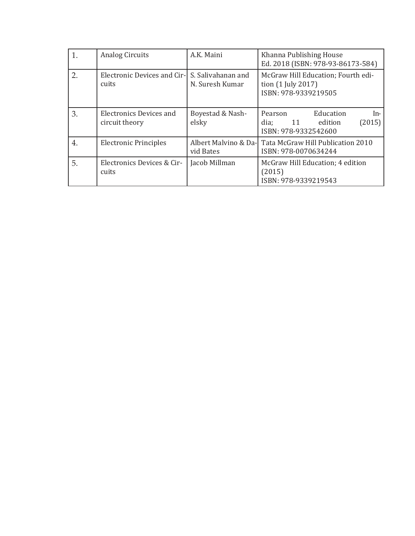| 1. | <b>Analog Circuits</b>                                  | A.K. Maini                | Khanna Publishing House<br>Ed. 2018 (ISBN: 978-93-86173-584)                           |
|----|---------------------------------------------------------|---------------------------|----------------------------------------------------------------------------------------|
| 2. | Electronic Devices and Cir- S. Salivahanan and<br>cuits | N. Suresh Kumar           | McGraw Hill Education; Fourth edi-<br>tion (1 July 2017)<br>ISBN: 978-9339219505       |
| 3. | <b>Electronics Devices and</b><br>circuit theory        | Boyestad & Nash-<br>elsky | Education<br>Pearson<br>In-<br>(2015)<br>dia;<br>edition<br>11<br>ISBN: 978-9332542600 |
| 4. | <b>Electronic Principles</b>                            | vid Bates                 | Albert Malvino & Da- Tata McGraw Hill Publication 2010<br>ISBN: 978-0070634244         |
| 5. | Electronics Devices & Cir-<br>cuits                     | Jacob Millman             | McGraw Hill Education; 4 edition<br>(2015)<br>ISBN: 978-9339219543                     |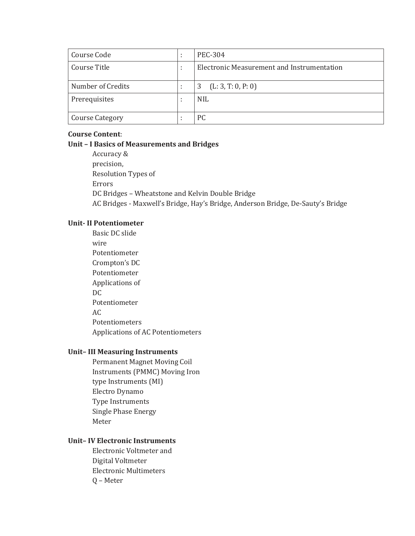| Course Code            | <b>PEC-304</b>                             |
|------------------------|--------------------------------------------|
| Course Title           | Electronic Measurement and Instrumentation |
|                        |                                            |
| Number of Credits      | (L: 3, T: 0, P: 0)<br>3                    |
| Prerequisites          | <b>NIL</b>                                 |
|                        |                                            |
| <b>Course Category</b> | PC.                                        |

**Unit – I Basics of Measurements and Bridges** Accuracy & precision, Resolution Types of Errors DC Bridges – Wheatstone and Kelvin Double Bridge AC Bridges - Maxwell's Bridge, Hay's Bridge, Anderson Bridge, De-Sauty's Bridge

#### **Unit- II Potentiometer**

Basic DC slide wire Potentiometer Crompton's DC Potentiometer Applications of DC Potentiometer AC Potentiometers Applications of AC Potentiometers

#### **Unit– III Measuring Instruments**

Permanent Magnet Moving Coil Instruments (PMMC) Moving Iron type Instruments (MI) Electro Dynamo Type Instruments Single Phase Energy Meter

#### **Unit– IV Electronic Instruments**

Electronic Voltmeter and Digital Voltmeter Electronic Multimeters Q – Meter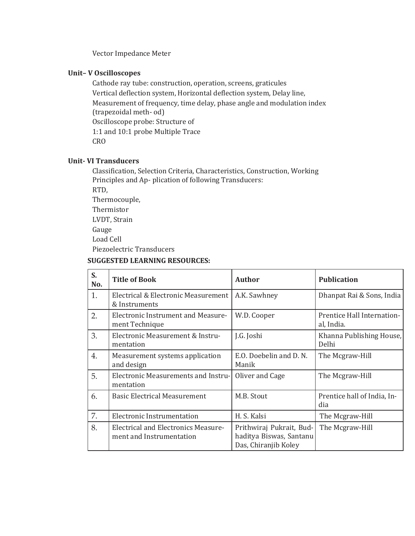Vector Impedance Meter

#### **Unit– V Oscilloscopes**

Cathode ray tube: construction, operation, screens, graticules Vertical deflection system, Horizontal deflection system, Delay line, Measurement of frequency, time delay, phase angle and modulation index (trapezoidal meth- od) Oscilloscope probe: Structure of 1:1 and 10:1 probe Multiple Trace CRO

#### **Unit- VI Transducers**

Classification, Selection Criteria, Characteristics, Construction, Working Principles and Ap- plication of following Transducers: RTD,

Thermocouple, Thermistor LVDT, Strain Gauge Load Cell

Piezoelectric Transducers

#### **SUGGESTED LEARNING RESOURCES:**

| S.<br>No.        | <b>Title of Book</b>                                                   | <b>Author</b>                                                               | <b>Publication</b>                       |
|------------------|------------------------------------------------------------------------|-----------------------------------------------------------------------------|------------------------------------------|
| 1.               | Electrical & Electronic Measurement<br>& Instruments                   | A.K. Sawhney                                                                | Dhanpat Rai & Sons, India                |
| 2.               | <b>Electronic Instrument and Measure-</b><br>ment Technique            | W.D. Cooper                                                                 | Prentice Hall Internation-<br>al, India. |
| 3.               | Electronic Measurement & Instru-<br>mentation                          | J.G. Joshi                                                                  | Khanna Publishing House,<br>Delhi        |
| $\overline{4}$ . | Measurement systems application<br>and design                          | E.O. Doebelin and D. N.<br>Manik                                            | The Mcgraw-Hill                          |
| 5.               | <b>Electronic Measurements and Instru-</b><br>mentation                | Oliver and Cage                                                             | The Mcgraw-Hill                          |
| 6.               | <b>Basic Electrical Measurement</b>                                    | M.B. Stout                                                                  | Prentice hall of India, In-<br>dia       |
| 7.               | Electronic Instrumentation                                             | H. S. Kalsi                                                                 | The Mcgraw-Hill                          |
| 8.               | <b>Electrical and Electronics Measure-</b><br>ment and Instrumentation | Prithwiraj Pukrait, Bud-<br>haditya Biswas, Santanu<br>Das, Chiranjib Koley | The Mcgraw-Hill                          |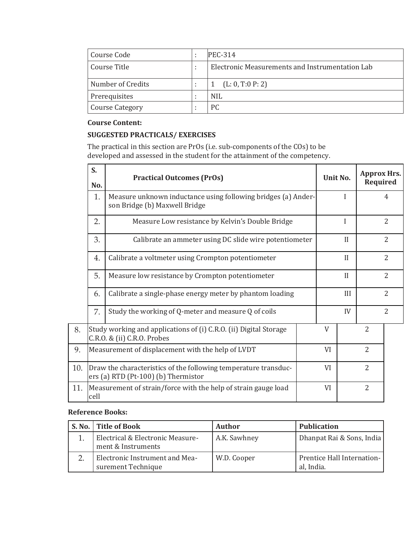| Course Code            | ٠ | $PEC-314$                                       |
|------------------------|---|-------------------------------------------------|
| Course Title           |   | Electronic Measurements and Instrumentation Lab |
| Number of Credits      |   | (L: 0, T: 0, P: 2)                              |
| Prerequisites          |   | <b>NIL</b>                                      |
| <b>Course Category</b> |   | <b>PC</b>                                       |

#### **SUGGESTED PRACTICALS/ EXERCISES**

The practical in this section are PrOs (i.e. sub-components of the COs) to be developed and assessed in the student for the attainment of the competency.

|     | S.<br>No.                                                                                                    | <b>Practical Outcomes (PrOs)</b>                                                               |  | Unit No. |                | <b>Approx Hrs.</b><br>Required |                |
|-----|--------------------------------------------------------------------------------------------------------------|------------------------------------------------------------------------------------------------|--|----------|----------------|--------------------------------|----------------|
|     | 1.                                                                                                           | Measure unknown inductance using following bridges (a) Ander-<br>son Bridge (b) Maxwell Bridge |  |          | I              |                                | 4              |
|     | 2.                                                                                                           | Measure Low resistance by Kelvin's Double Bridge                                               |  |          | I              |                                | 2              |
|     | 3.                                                                                                           | Calibrate an ammeter using DC slide wire potentiometer                                         |  |          | $\prod$        |                                | 2              |
|     | 4.                                                                                                           | Calibrate a voltmeter using Crompton potentiometer                                             |  |          | $\prod$        |                                | $\overline{2}$ |
|     | 5.<br>Measure low resistance by Crompton potentiometer                                                       |                                                                                                |  |          | II             |                                | $\overline{2}$ |
|     | Calibrate a single-phase energy meter by phantom loading<br>6.                                               |                                                                                                |  |          | III            |                                | $\overline{2}$ |
|     | 7.<br>Study the working of Q-meter and measure Q of coils                                                    |                                                                                                |  |          | IV             |                                | $\overline{2}$ |
| 8.  | Study working and applications of (i) C.R.O. (ii) Digital Storage<br>C.R.O. & (ii) C.R.O. Probes             |                                                                                                |  |          |                | $\overline{2}$                 |                |
| 9.  | VI<br>Measurement of displacement with the help of LVDT                                                      |                                                                                                |  |          | $\overline{2}$ |                                |                |
| 10. | Draw the characteristics of the following temperature transduc-<br>VI<br>ers (a) RTD (Pt-100) (b) Thermistor |                                                                                                |  |          |                | $\overline{2}$                 |                |
| 11. | $\overline{2}$<br>Measurement of strain/force with the help of strain gauge load<br>VI<br>cell               |                                                                                                |  |          |                |                                |                |

#### **Reference Books:**

| S. No.   Title of Book                                 | <b>Author</b> | <b>Publication</b>                       |
|--------------------------------------------------------|---------------|------------------------------------------|
| Electrical & Electronic Measure-<br>ment & Instruments | A.K. Sawhney  | Dhanpat Rai & Sons, India                |
| Electronic Instrument and Mea-<br>surement Technique   | W.D. Cooper   | Prentice Hall Internation-<br>al, India. |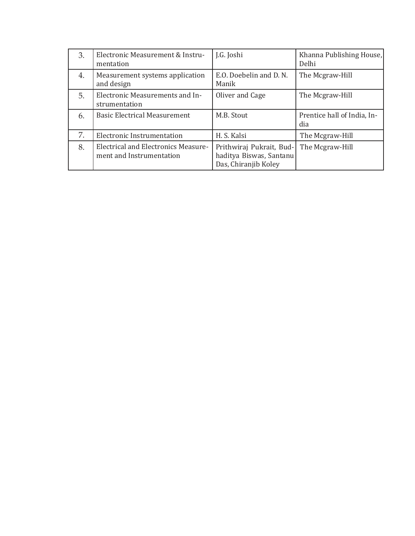| 3. | Electronic Measurement & Instru-<br>mentation    | J.G. Joshi                      | Khanna Publishing House,<br>Delhi  |
|----|--------------------------------------------------|---------------------------------|------------------------------------|
| 4. | Measurement systems application<br>and design    | E.O. Doebelin and D.N.<br>Manik | The Mcgraw-Hill                    |
| 5. | Electronic Measurements and In-<br>strumentation | Oliver and Cage                 | The Mcgraw-Hill                    |
|    |                                                  |                                 |                                    |
| 6. | <b>Basic Electrical Measurement</b>              | M.B. Stout                      | Prentice hall of India, In-<br>dia |
| 7. | Electronic Instrumentation                       | H. S. Kalsi                     | The Mcgraw-Hill                    |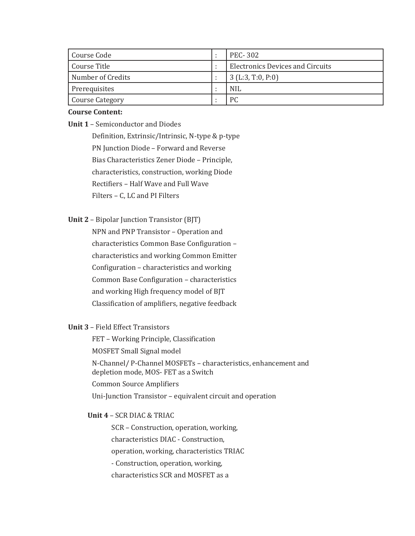| Course Code       | <b>PEC-302</b>                          |
|-------------------|-----------------------------------------|
| Course Title      | <b>Electronics Devices and Circuits</b> |
| Number of Credits | $3$ (L:3, T:0, P:0)                     |
| Prerequisites     | <b>NIL</b>                              |
| Course Category   | РC                                      |

**Unit 1** – Semiconductor and Diodes

Definition, Extrinsic/Intrinsic, N-type & p-type PN Junction Diode – Forward and Reverse Bias Characteristics Zener Diode – Principle, characteristics, construction, working Diode Rectifiers – Half Wave and Full Wave Filters – C, LC and PI Filters

**Unit 2** – Bipolar Junction Transistor (BJT)

NPN and PNP Transistor – Operation and characteristics Common Base Configuration – characteristics and working Common Emitter Configuration – characteristics and working Common Base Configuration – characteristics and working High frequency model of BJT Classification of amplifiers, negative feedback

#### **Unit 3** – Field Effect Transistors

FET – Working Principle, Classification MOSFET Small Signal model N-Channel/ P-Channel MOSFETs – characteristics, enhancement and depletion mode, MOS- FET as a Switch Common Source Amplifiers Uni-Junction Transistor – equivalent circuit and operation

**Unit 4** – SCR DIAC & TRIAC

SCR – Construction, operation, working, characteristics DIAC - Construction, operation, working, characteristics TRIAC - Construction, operation, working, characteristics SCR and MOSFET as a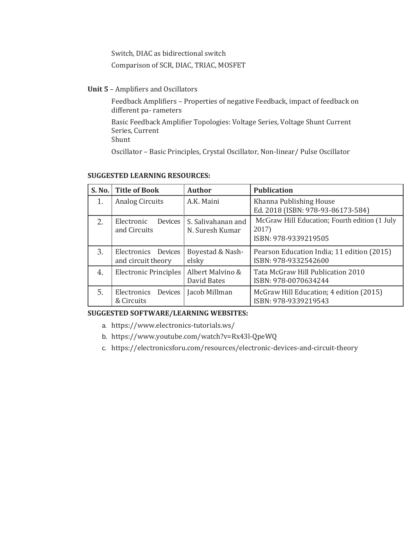Switch, DIAC as bidirectional switch

Comparison of SCR, DIAC, TRIAC, MOSFET

**Unit 5** – Amplifiers and Oscillators

Feedback Amplifiers – Properties of negative Feedback, impact of feedback on different pa- rameters

Basic Feedback Amplifier Topologies: Voltage Series, Voltage Shunt Current Series, Current

Shunt

Oscillator – Basic Principles, Crystal Oscillator, Non-linear/ Pulse Oscillator

| S. No. | <b>Title of Book</b>                               | <b>Author</b>                         | <b>Publication</b>                                                             |
|--------|----------------------------------------------------|---------------------------------------|--------------------------------------------------------------------------------|
| 1.     | <b>Analog Circuits</b>                             | A.K. Maini                            | Khanna Publishing House<br>Ed. 2018 (ISBN: 978-93-86173-584)                   |
| 2.     | Electronic<br>Devices<br>and Circuits              | S. Salivahanan and<br>N. Suresh Kumar | McGraw Hill Education; Fourth edition (1 July<br>2017)<br>ISBN: 978-9339219505 |
| 3.     | Electronics Devices<br>and circuit theory          | Boyestad & Nash-<br>elsky             | Pearson Education India; 11 edition (2015)<br>ISBN: 978-9332542600             |
| 4.     | Electronic Principles                              | Albert Malvino &<br>David Bates       | Tata McGraw Hill Publication 2010<br>ISBN: 978-0070634244                      |
| 5.     | Jacob Millman<br>Electronics Devices<br>& Circuits |                                       | McGraw Hill Education; 4 edition (2015)<br>ISBN: 978-9339219543                |

#### **SUGGESTED LEARNING RESOURCES:**

#### **SUGGESTED SOFTWARE/LEARNING WEBSITES:**

- a. [https://www.](http://www.electronics-tutorials.ws/)elect[ronics-tutorials.ws/](http://www.electronics-tutorials.ws/)
- b. [https://www.youtube.com/wa](http://www.youtube.com/watch?v=Rx43l-QpeWQ)tch[?v=Rx43l-QpeWQ](http://www.youtube.com/watch?v=Rx43l-QpeWQ)
- c. https://electronicsforu.com/resources/electronic-devices-and-circuit-theory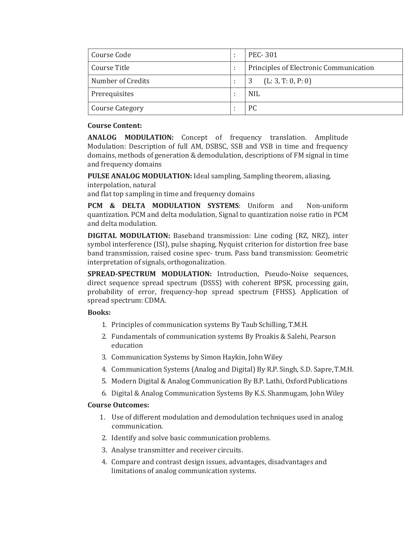| Course Code            | <b>PEC-301</b>                         |
|------------------------|----------------------------------------|
| Course Title           | Principles of Electronic Communication |
| Number of Credits      | (L: 3, T: 0, P: 0)<br>3                |
| Prerequisites          | <b>NIL</b>                             |
| <b>Course Category</b> | PC.                                    |

**ANALOG MODULATION:** Concept of frequency translation. Amplitude Modulation: Description of full AM, DSBSC, SSB and VSB in time and frequency domains, methods of generation &demodulation, descriptions of FM signal in time and frequency domains

**PULSE ANALOG MODULATION:** Ideal sampling, Sampling theorem, aliasing, interpolation, natural

and flat top sampling in time and frequency domains

**PCM & DELTA MODULATION SYSTEMS**: Uniform and Non-uniform quantization. PCM and delta modulation, Signal to quantization noise ratio in PCM and delta modulation.

**DIGITAL MODULATION:** Baseband transmission: Line coding (RZ, NRZ), inter symbol interference (ISI), pulse shaping, Nyquist criterion for distortion free base band transmission, raised cosine spec- trum. Pass band transmission: Geometric interpretation of signals, orthogonalization.

**SPREAD-SPECTRUM MODULATION:** Introduction, Pseudo-Noise sequences, direct sequence spread spectrum (DSSS) with coherent BPSK, processing gain, probability of error, frequency-hop spread spectrum (FHSS). Application of spread spectrum: CDMA.

#### **Books:**

- 1. Principles of communication systems By Taub Schilling, T.M.H.
- 2. Fundamentals of communication systems By Proakis & Salehi, Pearson education
- 3. Communication Systems by Simon Haykin, John Wiley
- 4. Communication Systems (Analog and Digital) By R.P. Singh, S.D. Sapre,T.M.H.
- 5. Modern Digital & Analog Communication By B.P. Lathi, Oxford Publications
- 6. Digital & Analog Communication Systems By K.S. Shanmugam, JohnWiley

#### **Course Outcomes:**

- 1. Use of different modulation and demodulation techniques used in analog communication.
- 2. Identify and solve basic communication problems.
- 3. Analyse transmitter and receiver circuits.
- 4. Compare and contrast design issues, advantages, disadvantages and limitations of analog communication systems.